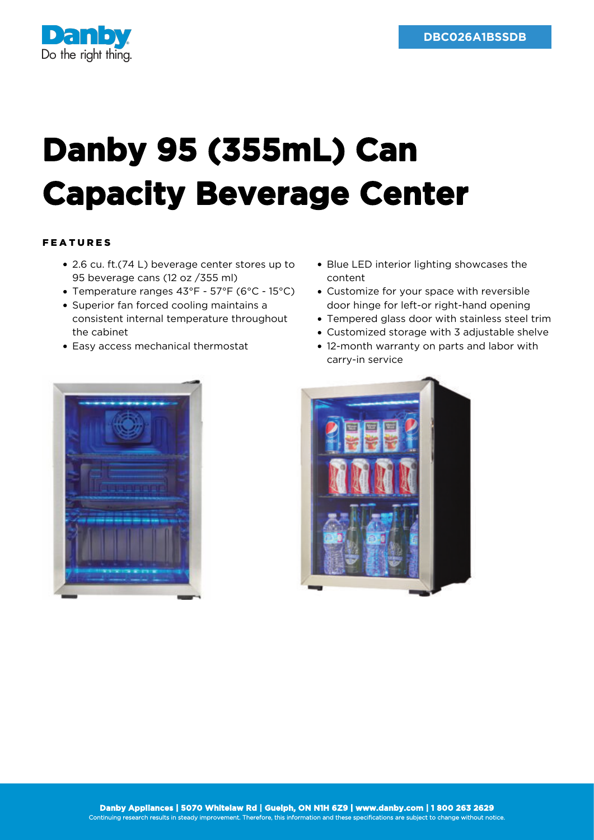

## **Danby 95 (355mL) Can Capacity Beverage Center**

## FEATURES

- 2.6 cu. ft.(74 L) beverage center stores up to 95 beverage cans (12 oz /355 ml)
- Temperature ranges 43°F 57°F (6°C 15°C)
- Superior fan forced cooling maintains a consistent internal temperature throughout the cabinet
- Easy access mechanical thermostat
- Blue LED interior lighting showcases the content
- Customize for your space with reversible door hinge for left-or right-hand opening
- Tempered glass door with stainless steel trim
- Customized storage with 3 adjustable shelve
- 12-month warranty on parts and labor with carry-in service